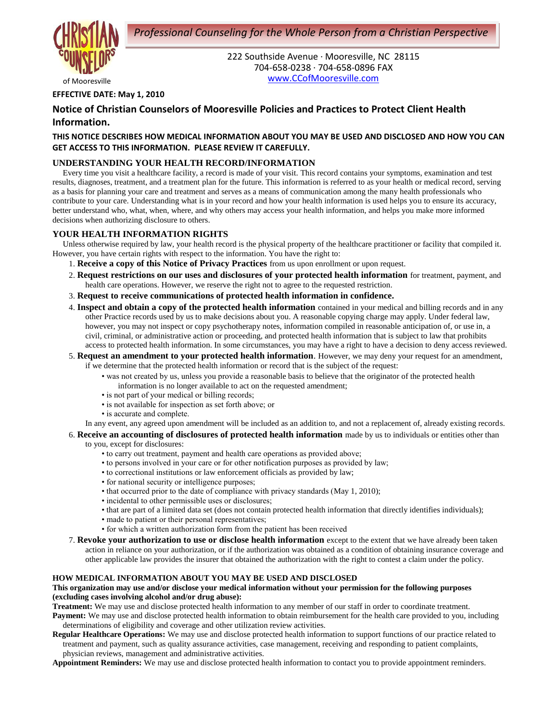*Professional Counseling for the Whole Person from a Christian Perspective*



of Mooresville

222 Southside Avenue ∙ Mooresville, NC 28115 704-658-0238 ∙ 704-658-0896 FAX www.CCofMooresville.com

# **EFFECTIVE DATE: May 1, 2010**

# **Notice of Christian Counselors of Mooresville Policies and Practices to Protect Client Health Information.**

# **THIS NOTICE DESCRIBES HOW MEDICAL INFORMATION ABOUT YOU MAY BE USED AND DISCLOSED AND HOW YOU CAN GET ACCESS TO THIS INFORMATION. PLEASE REVIEW IT CAREFULLY.**

# **UNDERSTANDING YOUR HEALTH RECORD/INFORMATION**

 Every time you visit a healthcare facility, a record is made of your visit. This record contains your symptoms, examination and test results, diagnoses, treatment, and a treatment plan for the future. This information is referred to as your health or medical record, serving as a basis for planning your care and treatment and serves as a means of communication among the many health professionals who contribute to your care. Understanding what is in your record and how your health information is used helps you to ensure its accuracy, better understand who, what, when, where, and why others may access your health information, and helps you make more informed decisions when authorizing disclosure to others.

# **YOUR HEALTH INFORMATION RIGHTS**

 Unless otherwise required by law, your health record is the physical property of the healthcare practitioner or facility that compiled it. However, you have certain rights with respect to the information. You have the right to:

- 1. **Receive a copy of this Notice of Privacy Practices** from us upon enrollment or upon request.
- 2. **Request restrictions on our uses and disclosures of your protected health information** for treatment, payment, and health care operations. However, we reserve the right not to agree to the requested restriction.
- 3. **Request to receive communications of protected health information in confidence.**
- 4. **Inspect and obtain a copy of the protected health information** contained in your medical and billing records and in any other Practice records used by us to make decisions about you. A reasonable copying charge may apply. Under federal law, however, you may not inspect or copy psychotherapy notes, information compiled in reasonable anticipation of, or use in, a civil, criminal, or administrative action or proceeding, and protected health information that is subject to law that prohibits access to protected health information. In some circumstances, you may have a right to have a decision to deny access reviewed.
- 5. **Request an amendment to your protected health information**. However, we may deny your request for an amendment, if we determine that the protected health information or record that is the subject of the request:
	- was not created by us, unless you provide a reasonable basis to believe that the originator of the protected health information is no longer available to act on the requested amendment;
	- is not part of your medical or billing records;
	- is not available for inspection as set forth above; or
	- is accurate and complete.

In any event, any agreed upon amendment will be included as an addition to, and not a replacement of, already existing records.

6. **Receive an accounting of disclosures of protected health information** made by us to individuals or entities other than to you, except for disclosures:

- to carry out treatment, payment and health care operations as provided above;
- to persons involved in your care or for other notification purposes as provided by law;
- to correctional institutions or law enforcement officials as provided by law;
- for national security or intelligence purposes;
- that occurred prior to the date of compliance with privacy standards (May 1, 2010);
- incidental to other permissible uses or disclosures;
- that are part of a limited data set (does not contain protected health information that directly identifies individuals);
- made to patient or their personal representatives;
- for which a written authorization form from the patient has been received
- 7. **Revoke your authorization to use or disclose health information** except to the extent that we have already been taken action in reliance on your authorization, or if the authorization was obtained as a condition of obtaining insurance coverage and other applicable law provides the insurer that obtained the authorization with the right to contest a claim under the policy.

#### **HOW MEDICAL INFORMATION ABOUT YOU MAY BE USED AND DISCLOSED**

#### **This organization may use and/or disclose your medical information without your permission for the following purposes (excluding cases involving alcohol and/or drug abuse):**

**Treatment:** We may use and disclose protected health information to any member of our staff in order to coordinate treatment.

Payment: We may use and disclose protected health information to obtain reimbursement for the health care provided to you, including determinations of eligibility and coverage and other utilization review activities.

**Regular Healthcare Operations:** We may use and disclose protected health information to support functions of our practice related to treatment and payment, such as quality assurance activities, case management, receiving and responding to patient complaints, physician reviews, management and administrative activities.

**Appointment Reminders:** We may use and disclose protected health information to contact you to provide appointment reminders.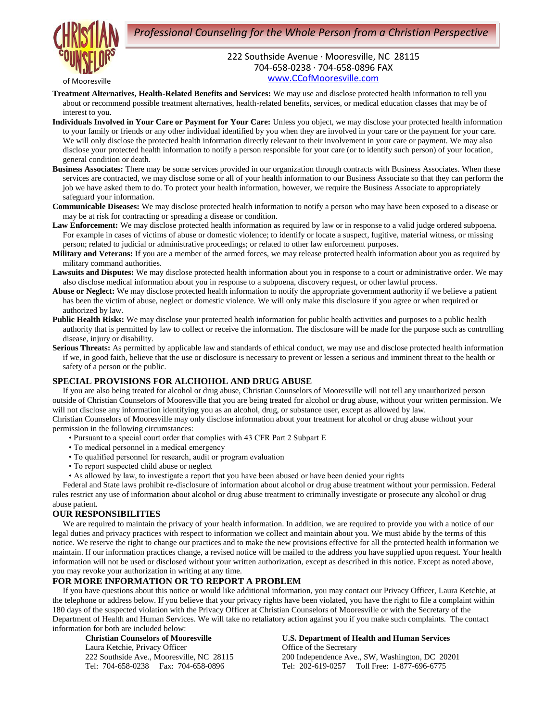

of Mooresville

# 222 Southside Avenue ∙ Mooresville, NC 28115 704-658-0238 ∙ 704-658-0896 FAX www.CCofMooresville.com

**Treatment Alternatives, Health-Related Benefits and Services:** We may use and disclose protected health information to tell you about or recommend possible treatment alternatives, health-related benefits, services, or medical education classes that may be of interest to you.

- **Individuals Involved in Your Care or Payment for Your Care:** Unless you object, we may disclose your protected health information to your family or friends or any other individual identified by you when they are involved in your care or the payment for your care. We will only disclose the protected health information directly relevant to their involvement in your care or payment. We may also disclose your protected health information to notify a person responsible for your care (or to identify such person) of your location, general condition or death.
- **Business Associates:** There may be some services provided in our organization through contracts with Business Associates. When these services are contracted, we may disclose some or all of your health information to our Business Associate so that they can perform the job we have asked them to do. To protect your health information, however, we require the Business Associate to appropriately safeguard your information.
- **Communicable Diseases:** We may disclose protected health information to notify a person who may have been exposed to a disease or may be at risk for contracting or spreading a disease or condition.
- **Law Enforcement:** We may disclose protected health information as required by law or in response to a valid judge ordered subpoena. For example in cases of victims of abuse or domestic violence; to identify or locate a suspect, fugitive, material witness, or missing person; related to judicial or administrative proceedings; or related to other law enforcement purposes.
- **Military and Veterans:** If you are a member of the armed forces, we may release protected health information about you as required by military command authorities.
- **Lawsuits and Disputes:** We may disclose protected health information about you in response to a court or administrative order. We may also disclose medical information about you in response to a subpoena, discovery request, or other lawful process.
- **Abuse or Neglect:** We may disclose protected health information to notify the appropriate government authority if we believe a patient has been the victim of abuse, neglect or domestic violence. We will only make this disclosure if you agree or when required or authorized by law.
- **Public Health Risks:** We may disclose your protected health information for public health activities and purposes to a public health authority that is permitted by law to collect or receive the information. The disclosure will be made for the purpose such as controlling disease, injury or disability.
- **Serious Threats:** As permitted by applicable law and standards of ethical conduct, we may use and disclose protected health information if we, in good faith, believe that the use or disclosure is necessary to prevent or lessen a serious and imminent threat to the health or safety of a person or the public.

# **SPECIAL PROVISIONS FOR ALCHOHOL AND DRUG ABUSE**

 If you are also being treated for alcohol or drug abuse, Christian Counselors of Mooresville will not tell any unauthorized person outside of Christian Counselors of Mooresville that you are being treated for alcohol or drug abuse, without your written permission. We will not disclose any information identifying you as an alcohol, drug, or substance user, except as allowed by law.

Christian Counselors of Mooresville may only disclose information about your treatment for alcohol or drug abuse without your permission in the following circumstances:

- Pursuant to a special court order that complies with 43 CFR Part 2 Subpart E
- To medical personnel in a medical emergency
- To qualified personnel for research, audit or program evaluation
- To report suspected child abuse or neglect
- As allowed by law, to investigate a report that you have been abused or have been denied your rights

 Federal and State laws prohibit re-disclosure of information about alcohol or drug abuse treatment without your permission. Federal rules restrict any use of information about alcohol or drug abuse treatment to criminally investigate or prosecute any alcohol or drug abuse patient.

# **OUR RESPONSIBILITIES**

 We are required to maintain the privacy of your health information. In addition, we are required to provide you with a notice of our legal duties and privacy practices with respect to information we collect and maintain about you. We must abide by the terms of this notice. We reserve the right to change our practices and to make the new provisions effective for all the protected health information we maintain. If our information practices change, a revised notice will be mailed to the address you have supplied upon request. Your health information will not be used or disclosed without your written authorization, except as described in this notice. Except as noted above, you may revoke your authorization in writing at any time.

# **FOR MORE INFORMATION OR TO REPORT A PROBLEM**

 If you have questions about this notice or would like additional information, you may contact our Privacy Officer, Laura Ketchie, at the telephone or address below. If you believe that your privacy rights have been violated, you have the right to file a complaint within 180 days of the suspected violation with the Privacy Officer at Christian Counselors of Mooresville or with the Secretary of the Department of Health and Human Services. We will take no retaliatory action against you if you make such complaints. The contact information for both are included below:

Laura Ketchie, Privacy Officer Office of the Secretary

# **Christian Counselors of Mooresville U.S. Department of Health and Human Services**

222 Southside Ave., Mooresville, NC 28115 200 Independence Ave., SW, Washington, DC 20201 Tel: 704-658-0238 Fax: 704-658-0896 Tel: 202-619-0257 Toll Free: 1-877-696-6775